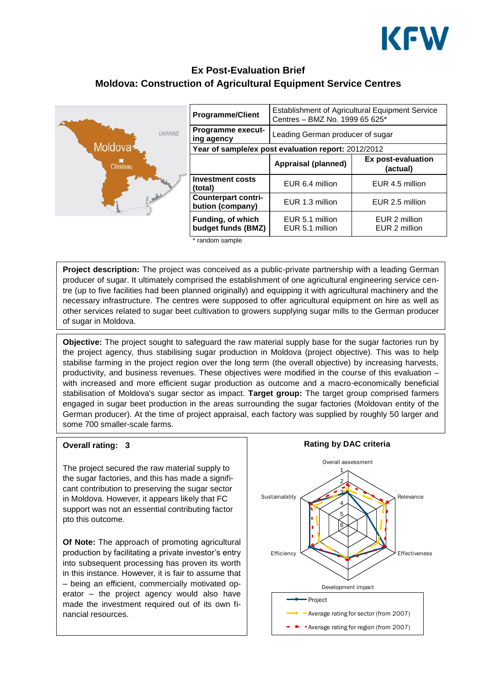

# **Ex Post-Evaluation Brief Moldova: Construction of Agricultural Equipment Service Centres**



| <b>Programme/Client</b>                             | <b>Establishment of Agricultural Equipment Service</b><br>Centres - BMZ No. 1999 65 625* |                                |
|-----------------------------------------------------|------------------------------------------------------------------------------------------|--------------------------------|
| <b>Programme execut-</b><br>ing agency              | Leading German producer of sugar                                                         |                                |
| Year of sample/ex post evaluation report: 2012/2012 |                                                                                          |                                |
|                                                     | Appraisal (planned)                                                                      | Ex post-evaluation<br>(actual) |
| <b>Investment costs</b><br>(total)                  | EUR 6.4 million                                                                          | EUR 4.5 million                |
| <b>Counterpart contri-</b><br>bution (company)      | EUR 1.3 million                                                                          | EUR 2.5 million                |
| <b>Funding, of which</b><br>budget funds (BMZ)      | EUR 5.1 million<br>EUR 5.1 million                                                       | EUR 2 million<br>EUR 2 million |

\* random sample

**Project description:** The project was conceived as a public-private partnership with a leading German producer of sugar. It ultimately comprised the establishment of one agricultural engineering service centre (up to five facilities had been planned originally) and equipping it with agricultural machinery and the necessary infrastructure. The centres were supposed to offer agricultural equipment on hire as well as other services related to sugar beet cultivation to growers supplying sugar mills to the German producer of sugar in Moldova.

**Objective:** The project sought to safeguard the raw material supply base for the sugar factories run by the project agency, thus stabilising sugar production in Moldova (project objective). This was to help stabilise farming in the project region over the long term (the overall objective) by increasing harvests, productivity, and business revenues. These objectives were modified in the course of this evaluation – with increased and more efficient sugar production as outcome and a macro-economically beneficial stabilisation of Moldova's sugar sector as impact. **Target group:** The target group comprised farmers engaged in sugar beet production in the areas surrounding the sugar factories (Moldovan entity of the German producer). At the time of project appraisal, each factory was supplied by roughly 50 larger and some 700 smaller-scale farms.

#### **Overall rating: 3**

The project secured the raw material supply to the sugar factories, and this has made a significant contribution to preserving the sugar sector in Moldova. However, it appears likely that FC support was not an essential contributing factor pto this outcome.

**Of Note:** The approach of promoting agricultural production by facilitating a private investor's entry into subsequent processing has proven its worth in this instance. However, it is fair to assume that – being an efficient, commercially motivated operator – the project agency would also have made the investment required out of its own financial resources.

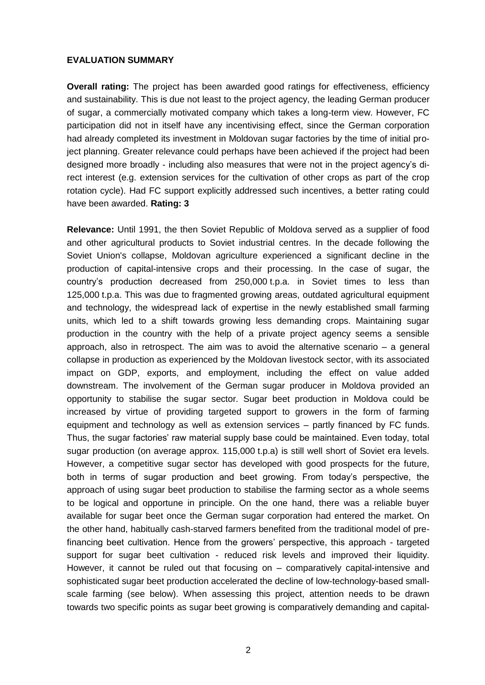## **EVALUATION SUMMARY**

**Overall rating:** The project has been awarded good ratings for effectiveness, efficiency and sustainability. This is due not least to the project agency, the leading German producer of sugar, a commercially motivated company which takes a long-term view. However, FC participation did not in itself have any incentivising effect, since the German corporation had already completed its investment in Moldovan sugar factories by the time of initial project planning. Greater relevance could perhaps have been achieved if the project had been designed more broadly - including also measures that were not in the project agency's direct interest (e.g. extension services for the cultivation of other crops as part of the crop rotation cycle). Had FC support explicitly addressed such incentives, a better rating could have been awarded. **Rating: 3**

**Relevance:** Until 1991, the then Soviet Republic of Moldova served as a supplier of food and other agricultural products to Soviet industrial centres. In the decade following the Soviet Union's collapse, Moldovan agriculture experienced a significant decline in the production of capital-intensive crops and their processing. In the case of sugar, the country's production decreased from 250,000 t.p.a. in Soviet times to less than 125,000 t.p.a. This was due to fragmented growing areas, outdated agricultural equipment and technology, the widespread lack of expertise in the newly established small farming units, which led to a shift towards growing less demanding crops. Maintaining sugar production in the country with the help of a private project agency seems a sensible approach, also in retrospect. The aim was to avoid the alternative scenario – a general collapse in production as experienced by the Moldovan livestock sector, with its associated impact on GDP, exports, and employment, including the effect on value added downstream. The involvement of the German sugar producer in Moldova provided an opportunity to stabilise the sugar sector. Sugar beet production in Moldova could be increased by virtue of providing targeted support to growers in the form of farming equipment and technology as well as extension services – partly financed by FC funds. Thus, the sugar factories' raw material supply base could be maintained. Even today, total sugar production (on average approx. 115,000 t.p.a) is still well short of Soviet era levels. However, a competitive sugar sector has developed with good prospects for the future, both in terms of sugar production and beet growing. From today's perspective, the approach of using sugar beet production to stabilise the farming sector as a whole seems to be logical and opportune in principle. On the one hand, there was a reliable buyer available for sugar beet once the German sugar corporation had entered the market. On the other hand, habitually cash-starved farmers benefited from the traditional model of prefinancing beet cultivation. Hence from the growers' perspective, this approach - targeted support for sugar beet cultivation - reduced risk levels and improved their liquidity. However, it cannot be ruled out that focusing on – comparatively capital-intensive and sophisticated sugar beet production accelerated the decline of low-technology-based smallscale farming (see below). When assessing this project, attention needs to be drawn towards two specific points as sugar beet growing is comparatively demanding and capital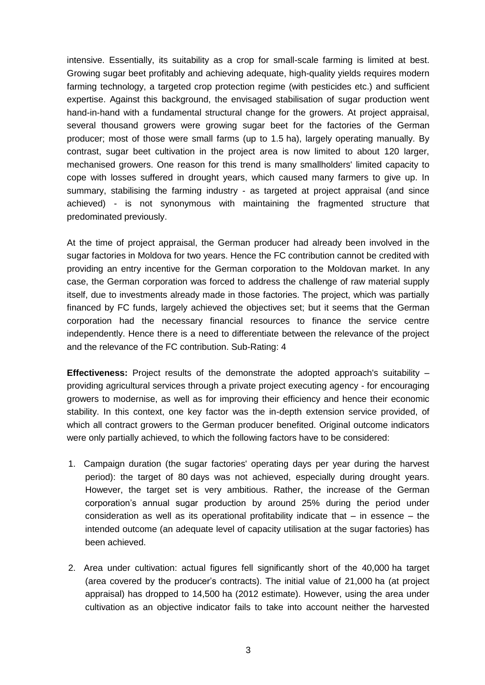intensive. Essentially, its suitability as a crop for small-scale farming is limited at best. Growing sugar beet profitably and achieving adequate, high-quality yields requires modern farming technology, a targeted crop protection regime (with pesticides etc.) and sufficient expertise. Against this background, the envisaged stabilisation of sugar production went hand-in-hand with a fundamental structural change for the growers. At project appraisal, several thousand growers were growing sugar beet for the factories of the German producer; most of those were small farms (up to 1.5 ha), largely operating manually. By contrast, sugar beet cultivation in the project area is now limited to about 120 larger, mechanised growers. One reason for this trend is many smallholders' limited capacity to cope with losses suffered in drought years, which caused many farmers to give up. In summary, stabilising the farming industry - as targeted at project appraisal (and since achieved) - is not synonymous with maintaining the fragmented structure that predominated previously.

At the time of project appraisal, the German producer had already been involved in the sugar factories in Moldova for two years. Hence the FC contribution cannot be credited with providing an entry incentive for the German corporation to the Moldovan market. In any case, the German corporation was forced to address the challenge of raw material supply itself, due to investments already made in those factories. The project, which was partially financed by FC funds, largely achieved the objectives set; but it seems that the German corporation had the necessary financial resources to finance the service centre independently. Hence there is a need to differentiate between the relevance of the project and the relevance of the FC contribution. Sub-Rating: 4

**Effectiveness:** Project results of the demonstrate the adopted approach's suitability – providing agricultural services through a private project executing agency - for encouraging growers to modernise, as well as for improving their efficiency and hence their economic stability. In this context, one key factor was the in-depth extension service provided, of which all contract growers to the German producer benefited. Original outcome indicators were only partially achieved, to which the following factors have to be considered:

- 1. Campaign duration (the sugar factories' operating days per year during the harvest period): the target of 80 days was not achieved, especially during drought years. However, the target set is very ambitious. Rather, the increase of the German corporation's annual sugar production by around 25% during the period under consideration as well as its operational profitability indicate that  $-$  in essence  $-$  the intended outcome (an adequate level of capacity utilisation at the sugar factories) has been achieved.
- 2. Area under cultivation: actual figures fell significantly short of the 40,000 ha target (area covered by the producer's contracts). The initial value of 21,000 ha (at project appraisal) has dropped to 14,500 ha (2012 estimate). However, using the area under cultivation as an objective indicator fails to take into account neither the harvested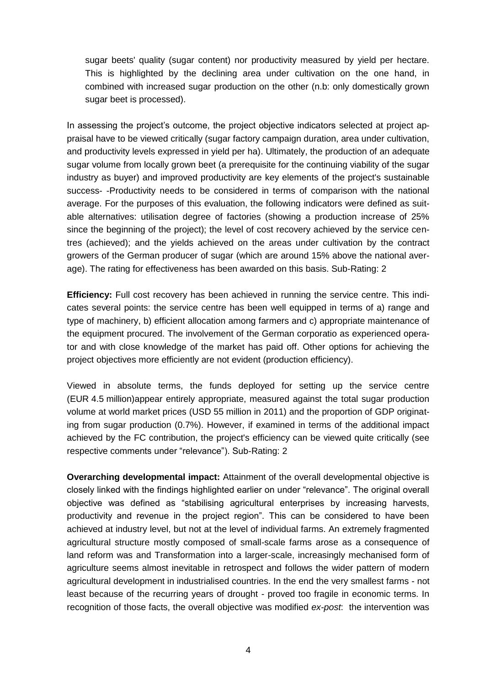sugar beets' quality (sugar content) nor productivity measured by yield per hectare. This is highlighted by the declining area under cultivation on the one hand, in combined with increased sugar production on the other (n.b: only domestically grown sugar beet is processed).

In assessing the project's outcome, the project objective indicators selected at project appraisal have to be viewed critically (sugar factory campaign duration, area under cultivation, and productivity levels expressed in yield per ha). Ultimately, the production of an adequate sugar volume from locally grown beet (a prerequisite for the continuing viability of the sugar industry as buyer) and improved productivity are key elements of the project's sustainable success- -Productivity needs to be considered in terms of comparison with the national average. For the purposes of this evaluation, the following indicators were defined as suitable alternatives: utilisation degree of factories (showing a production increase of 25% since the beginning of the project); the level of cost recovery achieved by the service centres (achieved); and the yields achieved on the areas under cultivation by the contract growers of the German producer of sugar (which are around 15% above the national average). The rating for effectiveness has been awarded on this basis. Sub-Rating: 2

**Efficiency:** Full cost recovery has been achieved in running the service centre. This indicates several points: the service centre has been well equipped in terms of a) range and type of machinery, b) efficient allocation among farmers and c) appropriate maintenance of the equipment procured. The involvement of the German corporatio as experienced operator and with close knowledge of the market has paid off. Other options for achieving the project objectives more efficiently are not evident (production efficiency).

Viewed in absolute terms, the funds deployed for setting up the service centre (EUR 4.5 million)appear entirely appropriate, measured against the total sugar production volume at world market prices (USD 55 million in 2011) and the proportion of GDP originating from sugar production (0.7%). However, if examined in terms of the additional impact achieved by the FC contribution, the project's efficiency can be viewed quite critically (see respective comments under "relevance"). Sub-Rating: 2

**Overarching developmental impact:** Attainment of the overall developmental objective is closely linked with the findings highlighted earlier on under "relevance". The original overall objective was defined as "stabilising agricultural enterprises by increasing harvests, productivity and revenue in the project region". This can be considered to have been achieved at industry level, but not at the level of individual farms. An extremely fragmented agricultural structure mostly composed of small-scale farms arose as a consequence of land reform was and Transformation into a larger-scale, increasingly mechanised form of agriculture seems almost inevitable in retrospect and follows the wider pattern of modern agricultural development in industrialised countries. In the end the very smallest farms - not least because of the recurring years of drought - proved too fragile in economic terms. In recognition of those facts, the overall objective was modified *ex-post*: the intervention was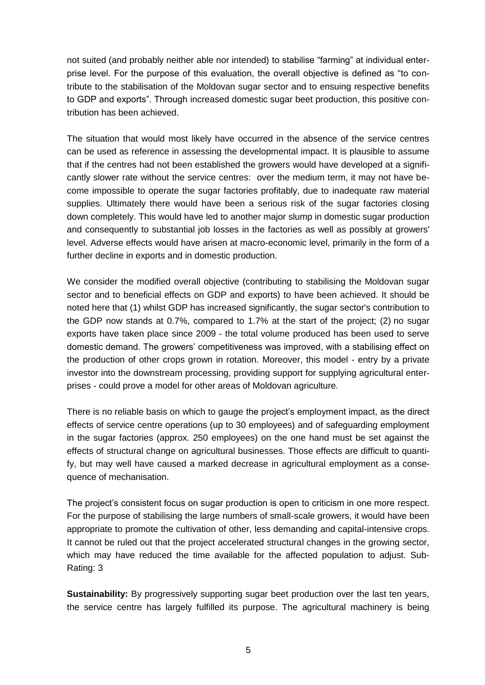not suited (and probably neither able nor intended) to stabilise "farming" at individual enterprise level. For the purpose of this evaluation, the overall objective is defined as "to contribute to the stabilisation of the Moldovan sugar sector and to ensuing respective benefits to GDP and exports". Through increased domestic sugar beet production, this positive contribution has been achieved.

The situation that would most likely have occurred in the absence of the service centres can be used as reference in assessing the developmental impact. It is plausible to assume that if the centres had not been established the growers would have developed at a significantly slower rate without the service centres: over the medium term, it may not have become impossible to operate the sugar factories profitably, due to inadequate raw material supplies. Ultimately there would have been a serious risk of the sugar factories closing down completely. This would have led to another major slump in domestic sugar production and consequently to substantial job losses in the factories as well as possibly at growers' level. Adverse effects would have arisen at macro-economic level, primarily in the form of a further decline in exports and in domestic production.

We consider the modified overall objective (contributing to stabilising the Moldovan sugar sector and to beneficial effects on GDP and exports) to have been achieved. It should be noted here that (1) whilst GDP has increased significantly, the sugar sector's contribution to the GDP now stands at 0.7%, compared to 1.7% at the start of the project; (2) no sugar exports have taken place since 2009 - the total volume produced has been used to serve domestic demand. The growers' competitiveness was improved, with a stabilising effect on the production of other crops grown in rotation. Moreover, this model - entry by a private investor into the downstream processing, providing support for supplying agricultural enterprises - could prove a model for other areas of Moldovan agriculture.

There is no reliable basis on which to gauge the project's employment impact, as the direct effects of service centre operations (up to 30 employees) and of safeguarding employment in the sugar factories (approx. 250 employees) on the one hand must be set against the effects of structural change on agricultural businesses. Those effects are difficult to quantify, but may well have caused a marked decrease in agricultural employment as a consequence of mechanisation.

The project's consistent focus on sugar production is open to criticism in one more respect. For the purpose of stabilising the large numbers of small-scale growers, it would have been appropriate to promote the cultivation of other, less demanding and capital-intensive crops. It cannot be ruled out that the project accelerated structural changes in the growing sector, which may have reduced the time available for the affected population to adjust. Sub-Rating: 3

**Sustainability:** By progressively supporting sugar beet production over the last ten years, the service centre has largely fulfilled its purpose. The agricultural machinery is being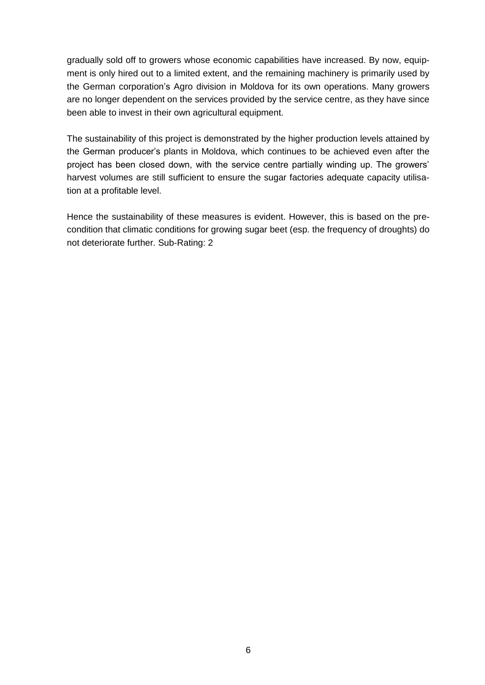gradually sold off to growers whose economic capabilities have increased. By now, equipment is only hired out to a limited extent, and the remaining machinery is primarily used by the German corporation's Agro division in Moldova for its own operations. Many growers are no longer dependent on the services provided by the service centre, as they have since been able to invest in their own agricultural equipment.

The sustainability of this project is demonstrated by the higher production levels attained by the German producer's plants in Moldova, which continues to be achieved even after the project has been closed down, with the service centre partially winding up. The growers' harvest volumes are still sufficient to ensure the sugar factories adequate capacity utilisation at a profitable level.

Hence the sustainability of these measures is evident. However, this is based on the precondition that climatic conditions for growing sugar beet (esp. the frequency of droughts) do not deteriorate further. Sub-Rating: 2